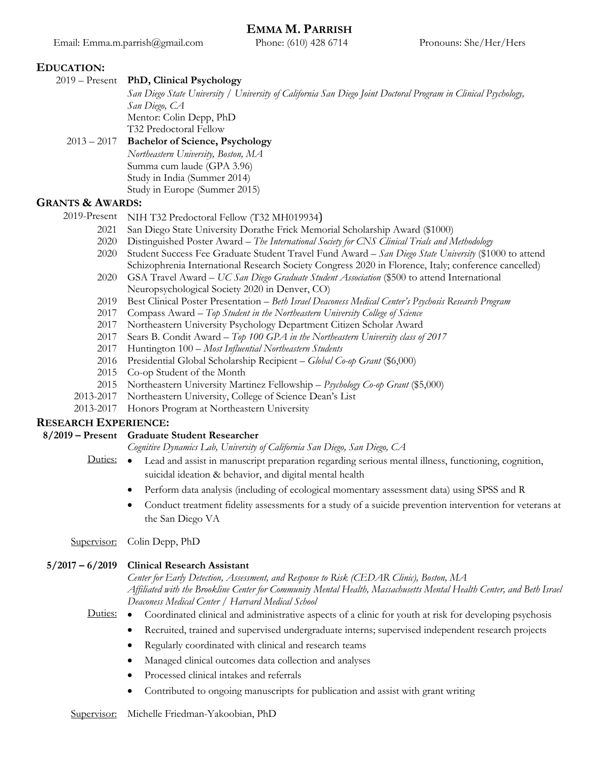## **EDUCATION:**

2019 – Present **PhD, Clinical Psychology**

*San Diego State University / University of California San Diego Joint Doctoral Program in Clinical Psychology, San Diego, CA* Mentor: Colin Depp, PhD

T32 Predoctoral Fellow

# 2013 – 2017 **Bachelor of Science, Psychology**

*Northeastern University, Boston, MA* Summa cum laude (GPA 3.96)

Study in India (Summer 2014)

Study in Europe (Summer 2015)

## **GRANTS & AWARDS:**

2019-Present NIH T32 Predoctoral Fellow (T32 MH019934)

- 2021 San Diego State University Dorathe Frick Memorial Scholarship Award (\$1000)
- 2020 Distinguished Poster Award *The International Society for CNS Clinical Trials and Methodology*
- 2020 Student Success Fee Graduate Student Travel Fund Award *San Diego State University* (\$1000 to attend Schizophrenia International Research Society Congress 2020 in Florence, Italy; conference cancelled)
- 2020 GSA Travel Award *UC San Diego Graduate Student Association* (\$500 to attend International Neuropsychological Society 2020 in Denver, CO)
- 2019 Best Clinical Poster Presentation *Beth Israel Deaconess Medical Center's Psychosis Research Program*
- 2017 Compass Award *Top Student in the Northeastern University College of Science*
- 2017 Northeastern University Psychology Department Citizen Scholar Award
- 2017 Sears B. Condit Award *Top 100 GPA in the Northeastern University class of 2017*
- 2017 Huntington 100 *Most Influential Northeastern Students*
- 2016 Presidential Global Scholarship Recipient *Global Co-op Grant* (\$6,000)
- 2015 Co-op Student of the Month
- 2015 Northeastern University Martinez Fellowship *Psychology Co-op Grant* (\$5,000)
- 2013-2017 Northeastern University, College of Science Dean's List
- 2013-2017 Honors Program at Northeastern University

## **RESEARCH EXPERIENCE:**

## **8/2019 – Present Graduate Student Researcher**

*Cognitive Dynamics Lab, University of California San Diego, San Diego, CA*

- Duties: Lead and assist in manuscript preparation regarding serious mental illness, functioning, cognition, suicidal ideation & behavior, and digital mental health
	- Perform data analysis (including of ecological momentary assessment data) using SPSS and R
	- Conduct treatment fidelity assessments for a study of a suicide prevention intervention for veterans at the San Diego VA

Supervisor: Colin Depp, PhD

## **5/2017 – 6/2019 Clinical Research Assistant**

*Center for Early Detection, Assessment, and Response to Risk (CEDAR Clinic), Boston, MA Affiliated with the Brookline Center for Community Mental Health, Massachusetts Mental Health Center, and Beth Israel Deaconess Medical Center / Harvard Medical School*

- Duties: Coordinated clinical and administrative aspects of a clinic for youth at risk for developing psychosis
	- Recruited, trained and supervised undergraduate interns; supervised independent research projects
		- Regularly coordinated with clinical and research teams
		- Managed clinical outcomes data collection and analyses
	- Processed clinical intakes and referrals
	- Contributed to ongoing manuscripts for publication and assist with grant writing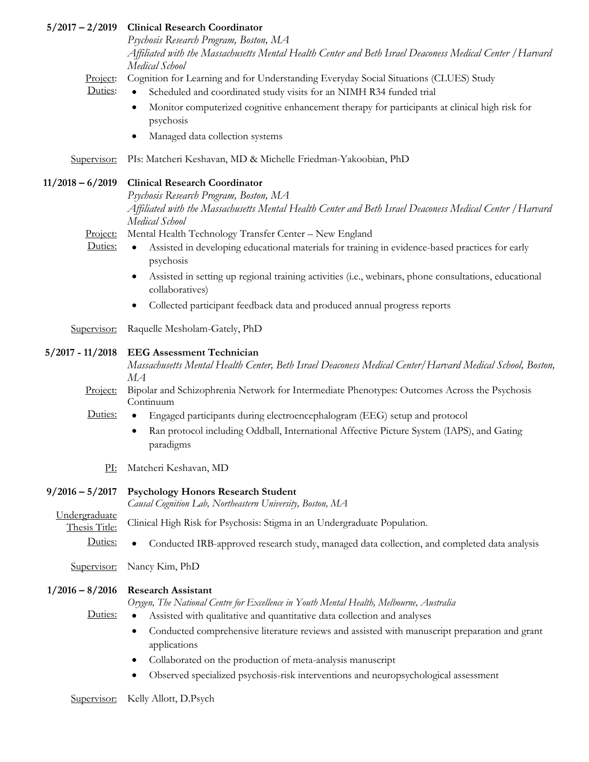|                                | 5/2017 - 2/2019 Clinical Research Coordinator                                                                                                                |
|--------------------------------|--------------------------------------------------------------------------------------------------------------------------------------------------------------|
|                                | Psychosis Research Program, Boston, MA                                                                                                                       |
|                                | Affiliated with the Massachusetts Mental Health Center and Beth Israel Deaconess Medical Center / Harvard                                                    |
|                                | Medical School                                                                                                                                               |
| Project:<br>Duties:            | Cognition for Learning and for Understanding Everyday Social Situations (CLUES) Study<br>Scheduled and coordinated study visits for an NIMH R34 funded trial |
|                                | Monitor computerized cognitive enhancement therapy for participants at clinical high risk for<br>٠<br>psychosis                                              |
|                                | Managed data collection systems                                                                                                                              |
| Supervisor:                    | PIs: Matcheri Keshavan, MD & Michelle Friedman-Yakoobian, PhD                                                                                                |
| 11/2018 - 6/2019               | <b>Clinical Research Coordinator</b>                                                                                                                         |
|                                | Psychosis Research Program, Boston, MA                                                                                                                       |
|                                | Affiliated with the Massachusetts Mental Health Center and Beth Israel Deaconess Medical Center / Harvard<br>Medical School                                  |
| Project:                       | Mental Health Technology Transfer Center - New England                                                                                                       |
| Duties:                        | Assisted in developing educational materials for training in evidence-based practices for early<br>$\bullet$<br>psychosis                                    |
|                                | Assisted in setting up regional training activities (i.e., webinars, phone consultations, educational<br>collaboratives)                                     |
|                                | Collected participant feedback data and produced annual progress reports                                                                                     |
| Supervisor:                    | Raquelle Mesholam-Gately, PhD                                                                                                                                |
| $5/2017 - 11/2018$             | <b>EEG Assessment Technician</b>                                                                                                                             |
|                                | Massachusetts Mental Health Center, Beth Israel Deaconess Medical Center/Harvard Medical School, Boston,<br>МA                                               |
| Project:                       | Bipolar and Schizophrenia Network for Intermediate Phenotypes: Outcomes Across the Psychosis<br>Continuum                                                    |
| Duties:                        | Engaged participants during electroencephalogram (EEG) setup and protocol                                                                                    |
|                                | Ran protocol including Oddball, International Affective Picture System (IAPS), and Gating<br>paradigms                                                       |
| PL:                            | Matcheri Keshavan, MD                                                                                                                                        |
| $9/2016 - 5/2017$              | <b>Psychology Honors Research Student</b>                                                                                                                    |
|                                | Causal Cognition Lab, Northeastern University, Boston, MA                                                                                                    |
| Undergraduate<br>Thesis Title: | Clinical High Risk for Psychosis: Stigma in an Undergraduate Population.                                                                                     |
| Duties:                        | Conducted IRB-approved research study, managed data collection, and completed data analysis                                                                  |
| Supervisor:                    | Nancy Kim, PhD                                                                                                                                               |
| $1/2016 - 8/2016$              | <b>Research Assistant</b>                                                                                                                                    |
| Duties:                        | Orygen, The National Centre for Excellence in Youth Mental Health, Melbourne, Australia                                                                      |
|                                | Assisted with qualitative and quantitative data collection and analyses                                                                                      |
|                                | Conducted comprehensive literature reviews and assisted with manuscript preparation and grant<br>applications                                                |
|                                | Collaborated on the production of meta-analysis manuscript<br>٠                                                                                              |
|                                | Observed specialized psychosis-risk interventions and neuropsychological assessment                                                                          |
| Supervisor:                    | Kelly Allott, D.Psych                                                                                                                                        |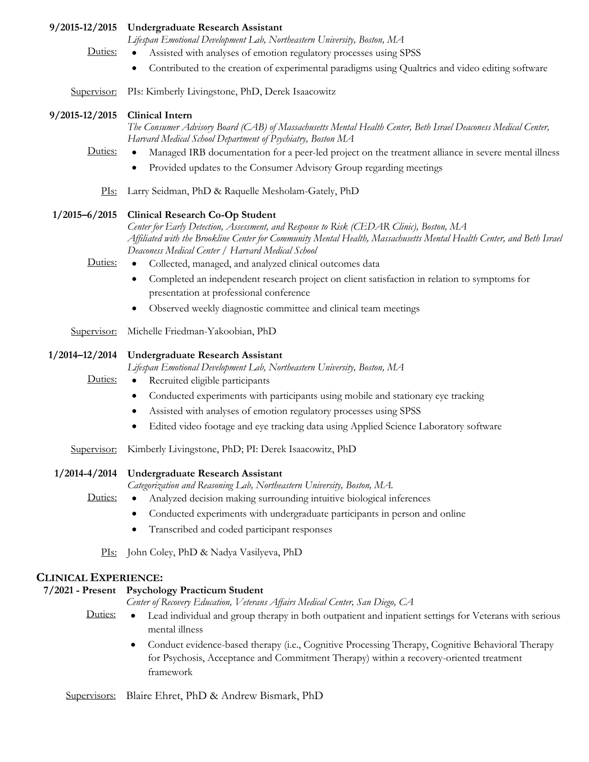#### **9/2015-12/2015 Undergraduate Research Assistant**

*Lifespan Emotional Development Lab, Northeastern University, Boston, MA*

- Duties: Assisted with analyses of emotion regulatory processes using SPSS
	- Contributed to the creation of experimental paradigms using Qualtrics and video editing software

Supervisor: PIs: Kimberly Livingstone, PhD, Derek Isaacowitz

## **9/2015-12/2015 Clinical Intern**

*The Consumer Advisory Board (CAB) of Massachusetts Mental Health Center, Beth Israel Deaconess Medical Center, Harvard Medical School Department of Psychiatry, Boston MA*

- Duties: Managed IRB documentation for a peer-led project on the treatment alliance in severe mental illness
	- Provided updates to the Consumer Advisory Group regarding meetings

PIs: Larry Seidman, PhD & Raquelle Mesholam-Gately, PhD

## **1/2015–6/2015 Clinical Research Co-Op Student**

*Center for Early Detection, Assessment, and Response to Risk (CEDAR Clinic), Boston, MA Affiliated with the Brookline Center for Community Mental Health, Massachusetts Mental Health Center, and Beth Israel Deaconess Medical Center / Harvard Medical School*

- Duties: Collected, managed, and analyzed clinical outcomes data
	- Completed an independent research project on client satisfaction in relation to symptoms for presentation at professional conference
	- Observed weekly diagnostic committee and clinical team meetings
- Supervisor: Michelle Friedman-Yakoobian, PhD

## **1/2014–12/2014 Undergraduate Research Assistant**

*Lifespan Emotional Development Lab, Northeastern University, Boston, MA*

- Duties: Recruited eligible participants
	- Conducted experiments with participants using mobile and stationary eye tracking
	- Assisted with analyses of emotion regulatory processes using SPSS
	- Edited video footage and eye tracking data using Applied Science Laboratory software

Supervisor: Kimberly Livingstone, PhD; PI: Derek Isaacowitz, PhD

## **1/2014-4/2014 Undergraduate Research Assistant**

*Categorization and Reasoning Lab, Northeastern University, Boston, MA.*

- Duties: Analyzed decision making surrounding intuitive biological inferences
	- Conducted experiments with undergraduate participants in person and online
	- Transcribed and coded participant responses

PIs: John Coley, PhD & Nadya Vasilyeva, PhD

## **CLINICAL EXPERIENCE:**

|         | 7/2021 - Present Psychology Practicum Student                                                                                                                                                             |
|---------|-----------------------------------------------------------------------------------------------------------------------------------------------------------------------------------------------------------|
|         | Center of Recovery Education, Veterans Affairs Medical Center, San Diego, CA                                                                                                                              |
| Duties: | Lead individual and group therapy in both outpatient and inpatient settings for Veterans with serious<br>$\bullet$<br>mental illness                                                                      |
|         | • Conduct evidence-based therapy (i.e., Cognitive Processing Therapy, Cognitive Behavioral Therapy<br>for Psychosis, Acceptance and Commitment Therapy) within a recovery-oriented treatment<br>framework |

Supervisors: Blaire Ehret, PhD & Andrew Bismark, PhD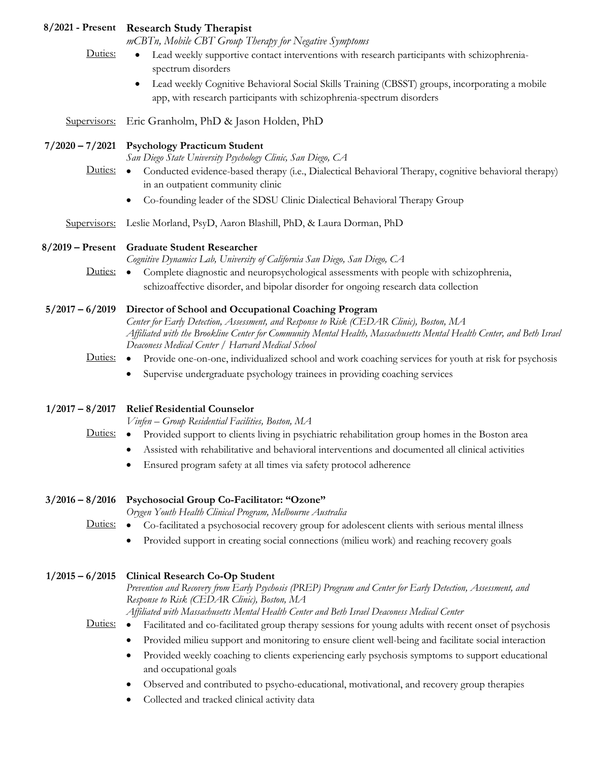|                   | 8/2021 - Present Research Study Therapist<br>mCBTn, Mobile CBT Group Therapy for Negative Symptoms                                                                                                                                                                                                                                            |
|-------------------|-----------------------------------------------------------------------------------------------------------------------------------------------------------------------------------------------------------------------------------------------------------------------------------------------------------------------------------------------|
| Duties:           | Lead weekly supportive contact interventions with research participants with schizophrenia-<br>$\bullet$<br>spectrum disorders                                                                                                                                                                                                                |
|                   | Lead weekly Cognitive Behavioral Social Skills Training (CBSST) groups, incorporating a mobile                                                                                                                                                                                                                                                |
|                   | app, with research participants with schizophrenia-spectrum disorders                                                                                                                                                                                                                                                                         |
|                   | Supervisors: Eric Granholm, PhD & Jason Holden, PhD                                                                                                                                                                                                                                                                                           |
|                   | 7/2020 - 7/2021 Psychology Practicum Student<br>San Diego State University Psychology Clinic, San Diego, CA                                                                                                                                                                                                                                   |
|                   | Duties: • Conducted evidence-based therapy (i.e., Dialectical Behavioral Therapy, cognitive behavioral therapy)<br>in an outpatient community clinic                                                                                                                                                                                          |
|                   | Co-founding leader of the SDSU Clinic Dialectical Behavioral Therapy Group<br>٠                                                                                                                                                                                                                                                               |
|                   | Supervisors: Leslie Morland, PsyD, Aaron Blashill, PhD, & Laura Dorman, PhD                                                                                                                                                                                                                                                                   |
|                   | 8/2019 - Present Graduate Student Researcher<br>Cognitive Dynamics Lab, University of California San Diego, San Diego, CA                                                                                                                                                                                                                     |
|                   | Duties: • Complete diagnostic and neuropsychological assessments with people with schizophrenia,                                                                                                                                                                                                                                              |
|                   | schizoaffective disorder, and bipolar disorder for ongoing research data collection                                                                                                                                                                                                                                                           |
|                   | 5/2017 - 6/2019 Director of School and Occupational Coaching Program<br>Center for Early Detection, Assessment, and Response to Risk (CEDAR Clinic), Boston, MA<br>Affiliated with the Brookline Center for Community Mental Health, Massachusetts Mental Health Center, and Beth Israel<br>Deaconess Medical Center / Harvard Medical School |
| Duties:           | • Provide one-on-one, individualized school and work coaching services for youth at risk for psychosis                                                                                                                                                                                                                                        |
|                   | Supervise undergraduate psychology trainees in providing coaching services<br>$\bullet$                                                                                                                                                                                                                                                       |
| $1/2017 - 8/2017$ | <b>Relief Residential Counselor</b>                                                                                                                                                                                                                                                                                                           |
|                   | Vinfen - Group Residential Facilities, Boston, MA                                                                                                                                                                                                                                                                                             |
|                   | Duties: • Provided support to clients living in psychiatric rehabilitation group homes in the Boston area                                                                                                                                                                                                                                     |
|                   | • Assisted with rehabilitative and behavioral interventions and documented all clinical activities<br>Ensured program safety at all times via safety protocol adherence                                                                                                                                                                       |
|                   |                                                                                                                                                                                                                                                                                                                                               |
| $3/2016 - 8/2016$ | Psychosocial Group Co-Facilitator: "Ozone"<br>Orygen Youth Health Clinical Program, Melbourne Australia                                                                                                                                                                                                                                       |
| Duties:           | Co-facilitated a psychosocial recovery group for adolescent clients with serious mental illness<br>$\bullet$                                                                                                                                                                                                                                  |
|                   | Provided support in creating social connections (milieu work) and reaching recovery goals                                                                                                                                                                                                                                                     |
| $1/2015 - 6/2015$ | <b>Clinical Research Co-Op Student</b>                                                                                                                                                                                                                                                                                                        |
|                   | Prevention and Recovery from Early Psychosis (PREP) Program and Center for Early Detection, Assessment, and<br>Response to Risk (CEDAR Clinic), Boston, MA                                                                                                                                                                                    |
| Duties:           | Affiliated with Massachusetts Mental Health Center and Beth Israel Deaconess Medical Center<br>Facilitated and co-facilitated group therapy sessions for young adults with recent onset of psychosis<br>$\bullet$                                                                                                                             |
|                   | Provided milieu support and monitoring to ensure client well-being and facilitate social interaction<br>٠                                                                                                                                                                                                                                     |
|                   | Provided weekly coaching to clients experiencing early psychosis symptoms to support educational<br>$\bullet$<br>and occupational goals                                                                                                                                                                                                       |
|                   | Observed and contributed to psycho-educational, motivational, and recovery group therapies<br>$\bullet$                                                                                                                                                                                                                                       |
|                   | Collected and tracked clinical activity data<br>٠                                                                                                                                                                                                                                                                                             |
|                   |                                                                                                                                                                                                                                                                                                                                               |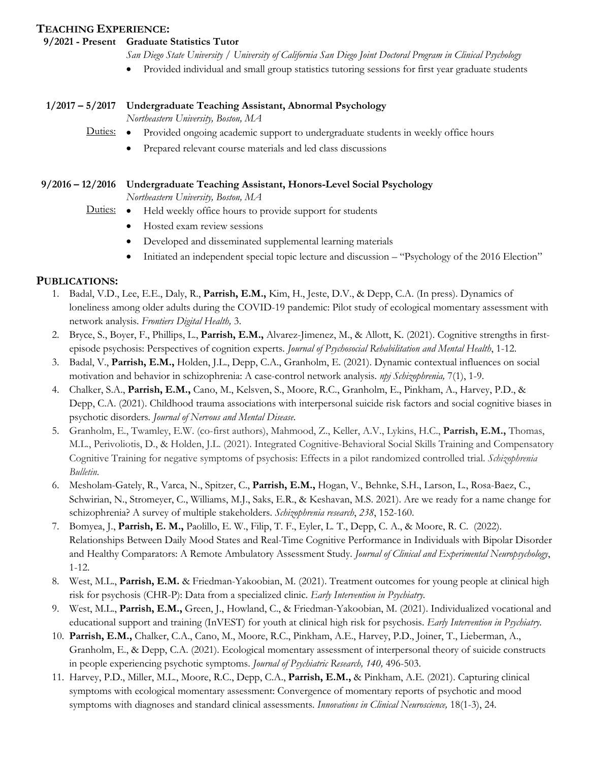## **TEACHING EXPERIENCE:**

## **9/2021 - Present Graduate Statistics Tutor**

- *San Diego State University / University of California San Diego Joint Doctoral Program in Clinical Psychology*
- Provided individual and small group statistics tutoring sessions for first year graduate students

#### **1/2017 – 5/2017 Undergraduate Teaching Assistant, Abnormal Psychology**

*Northeastern University, Boston, MA*

- Duties: Provided ongoing academic support to undergraduate students in weekly office hours
	- Prepared relevant course materials and led class discussions

## **9/2016 – 12/2016 Undergraduate Teaching Assistant, Honors-Level Social Psychology**

*Northeastern University, Boston, MA*

- Duties: Held weekly office hours to provide support for students
	- Hosted exam review sessions
	- Developed and disseminated supplemental learning materials
	- Initiated an independent special topic lecture and discussion "Psychology of the 2016 Election"

## **PUBLICATIONS:**

- 1. Badal, V.D., Lee, E.E., Daly, R., **Parrish, E.M.,** Kim, H., Jeste, D.V., & Depp, C.A. (In press). Dynamics of loneliness among older adults during the COVID-19 pandemic: Pilot study of ecological momentary assessment with network analysis. *Frontiers Digital Health,* 3.
- 2. Bryce, S., Boyer, F., Phillips, L., **Parrish, E.M.,** Alvarez-Jimenez, M., & Allott, K. (2021). Cognitive strengths in firstepisode psychosis: Perspectives of cognition experts. *Journal of Psychosocial Rehabilitation and Mental Health*, 1-12.
- 3. Badal, V., **Parrish, E.M.,** Holden, J.L., Depp, C.A., Granholm, E. (2021). Dynamic contextual influences on social motivation and behavior in schizophrenia: A case-control network analysis. *npj Schizophrenia,* 7(1), 1-9.
- 4. Chalker, S.A., **Parrish, E.M.,** Cano, M., Kelsven, S., Moore, R.C., Granholm, E., Pinkham, A., Harvey, P.D., & Depp, C.A. (2021). Childhood trauma associations with interpersonal suicide risk factors and social cognitive biases in psychotic disorders*. Journal of Nervous and Mental Disease*.
- 5. Granholm, E., Twamley, E.W. (co-first authors), Mahmood, Z., Keller, A.V., Lykins, H.C., **Parrish, E.M.,** Thomas, M.L., Perivoliotis, D., & Holden, J.L. (2021). Integrated Cognitive-Behavioral Social Skills Training and Compensatory Cognitive Training for negative symptoms of psychosis: Effects in a pilot randomized controlled trial. *Schizophrenia Bulletin.*
- 6. Mesholam-Gately, R., Varca, N., Spitzer, C., **Parrish, E.M.,** Hogan, V., Behnke, S.H., Larson, L., Rosa-Baez, C., Schwirian, N., Stromeyer, C., Williams, M.J., Saks, E.R., & Keshavan, M.S. 2021). Are we ready for a name change for schizophrenia? A survey of multiple stakeholders. *Schizophrenia research*, *238*, 152-160.
- 7. Bomyea, J., **Parrish, E. M.,** Paolillo, E. W., Filip, T. F., Eyler, L. T., Depp, C. A., & Moore, R. C. (2022). Relationships Between Daily Mood States and Real-Time Cognitive Performance in Individuals with Bipolar Disorder and Healthy Comparators: A Remote Ambulatory Assessment Study. *Journal of Clinical and Experimental Neuropsychology*, 1-12.
- 8. West, M.L., **Parrish, E.M.** & Friedman-Yakoobian, M. (2021). Treatment outcomes for young people at clinical high risk for psychosis (CHR-P): Data from a specialized clinic. *Early Intervention in Psychiatry.*
- 9. West, M.L., **Parrish, E.M.,** Green, J., Howland, C., & Friedman-Yakoobian, M. (2021). Individualized vocational and educational support and training (InVEST) for youth at clinical high risk for psychosis. *Early Intervention in Psychiatry.*
- 10. **Parrish, E.M.,** Chalker, C.A., Cano, M., Moore, R.C., Pinkham, A.E., Harvey, P.D., Joiner, T., Lieberman, A., Granholm, E., & Depp, C.A. (2021). Ecological momentary assessment of interpersonal theory of suicide constructs in people experiencing psychotic symptoms. *Journal of Psychiatric Research, 140,* 496-503.
- 11. Harvey, P.D., Miller, M.L., Moore, R.C., Depp, C.A., **Parrish, E.M.,** & Pinkham, A.E. (2021). Capturing clinical symptoms with ecological momentary assessment: Convergence of momentary reports of psychotic and mood symptoms with diagnoses and standard clinical assessments. *Innovations in Clinical Neuroscience,* 18(1-3), 24*.*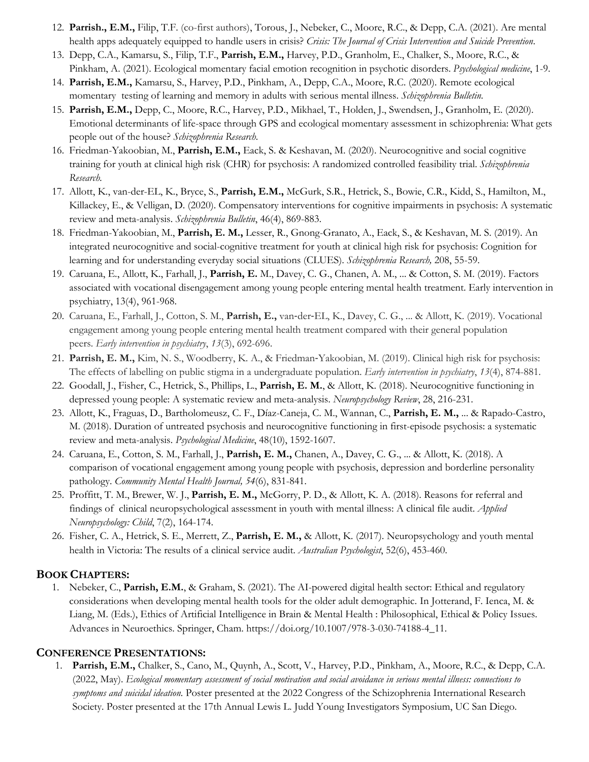- 12. **Parrish., E.M.,** Filip, T.F. (co-first authors), Torous, J., Nebeker, C., Moore, R.C., & Depp, C.A. (2021). Are mental health apps adequately equipped to handle users in crisis? *Crisis: The Journal of Crisis Intervention and Suicide Prevention*.
- 13. Depp, C.A., Kamarsu, S., Filip, T.F., **Parrish, E.M.,** Harvey, P.D., Granholm, E., Chalker, S., Moore, R.C., & Pinkham, A. (2021). Ecological momentary facial emotion recognition in psychotic disorders. *Psychological medicine*, 1-9.
- 14. **Parrish, E.M.,** Kamarsu, S., Harvey, P.D., Pinkham, A., Depp, C.A., Moore, R.C. (2020). Remote ecological momentary testing of learning and memory in adults with serious mental illness. *Schizophrenia Bulletin.*
- 15. **Parrish, E.M.,** Depp, C., Moore, R.C., Harvey, P.D., Mikhael, T., Holden, J., Swendsen, J., Granholm, E. (2020). Emotional determinants of life-space through GPS and ecological momentary assessment in schizophrenia: What gets people out of the house? *Schizophrenia Research.*
- 16. Friedman-Yakoobian, M., **Parrish, E.M.,** Eack, S. & Keshavan, M. (2020). Neurocognitive and social cognitive training for youth at clinical high risk (CHR) for psychosis: A randomized controlled feasibility trial. *Schizophrenia Research.*
- 17. Allott, K., van-der-EL, K., Bryce, S., **Parrish, E.M.,** McGurk, S.R., Hetrick, S., Bowie, C.R., Kidd, S., Hamilton, M., Killackey, E., & Velligan, D. (2020). Compensatory interventions for cognitive impairments in psychosis: A systematic review and meta-analysis. *Schizophrenia Bulletin*, 46(4), 869-883.
- 18. Friedman-Yakoobian, M., **Parrish, E. M.,** Lesser, R., Gnong-Granato, A., Eack, S., & Keshavan, M. S. (2019). An integrated neurocognitive and social-cognitive treatment for youth at clinical high risk for psychosis: Cognition for learning and for understanding everyday social situations (CLUES). *Schizophrenia Research,* 208, 55-59.
- 19. Caruana, E., Allott, K., Farhall, J., **Parrish, E.** M., Davey, C. G., Chanen, A. M., ... & Cotton, S. M. (2019). Factors associated with vocational disengagement among young people entering mental health treatment. Early intervention in psychiatry, 13(4), 961-968.
- 20. Caruana, E., Farhall, J., Cotton, S. M., **Parrish, E.,** van-der-EL, K., Davey, C. G., ... & Allott, K. (2019). Vocational engagement among young people entering mental health treatment compared with their general population peers. *Early intervention in psychiatry*, *13*(3), 692-696.
- 21. **Parrish, E. M.,** Kim, N. S., Woodberry, K. A., & Friedman-Yakoobian, M. (2019). Clinical high risk for psychosis: The effects of labelling on public stigma in a undergraduate population. *Early intervention in psychiatry*, *13*(4), 874-881.
- 22. Goodall, J., Fisher, C., Hetrick, S., Phillips, L., **Parrish, E. M.**, & Allott, K. (2018). Neurocognitive functioning in depressed young people: A systematic review and meta-analysis. *Neuropsychology Review*, 28, 216-231.
- 23. Allott, K., Fraguas, D., Bartholomeusz, C. F., Díaz-Caneja, C. M., Wannan, C., **Parrish, E. M.,** ... & Rapado-Castro, M. (2018). Duration of untreated psychosis and neurocognitive functioning in first-episode psychosis: a systematic review and meta-analysis. *Psychological Medicine*, 48(10), 1592-1607.
- 24. Caruana, E., Cotton, S. M., Farhall, J., **Parrish, E. M.,** Chanen, A., Davey, C. G., ... & Allott, K. (2018). A comparison of vocational engagement among young people with psychosis, depression and borderline personality pathology. *Community Mental Health Journal, 54*(6), 831-841.
- 25. Proffitt, T. M., Brewer, W. J., **Parrish, E. M.,** McGorry, P. D., & Allott, K. A. (2018). Reasons for referral and findings of clinical neuropsychological assessment in youth with mental illness: A clinical file audit. *Applied Neuropsychology: Child*, 7(2), 164-174.
- 26. Fisher, C. A., Hetrick, S. E., Merrett, Z., **Parrish, E. M.,** & Allott, K. (2017). Neuropsychology and youth mental health in Victoria: The results of a clinical service audit. *Australian Psychologist*, 52(6), 453-460.

# **BOOK CHAPTERS:**

1. Nebeker, C., **Parrish, E.M.**, & Graham, S. (2021). The AI-powered digital health sector: Ethical and regulatory considerations when developing mental health tools for the older adult demographic. In Jotterand, F. Ienca, M. & Liang, M. (Eds.), Ethics of Artificial Intelligence in Brain & Mental Health : Philosophical, Ethical & Policy Issues. Advances in Neuroethics. Springer, Cham. https://doi.org/10.1007/978-3-030-74188-4\_11.

# **CONFERENCE PRESENTATIONS:**

1. **Parrish, E.M.,** Chalker, S., Cano, M., Quynh, A., Scott, V., Harvey, P.D., Pinkham, A., Moore, R.C., & Depp, C.A. (2022, May). *Ecological momentary assessment of social motivation and social avoidance in serious mental illness: connections to symptoms and suicidal ideation.* Poster presented at the 2022 Congress of the Schizophrenia International Research Society. Poster presented at the 17th Annual Lewis L. Judd Young Investigators Symposium, UC San Diego.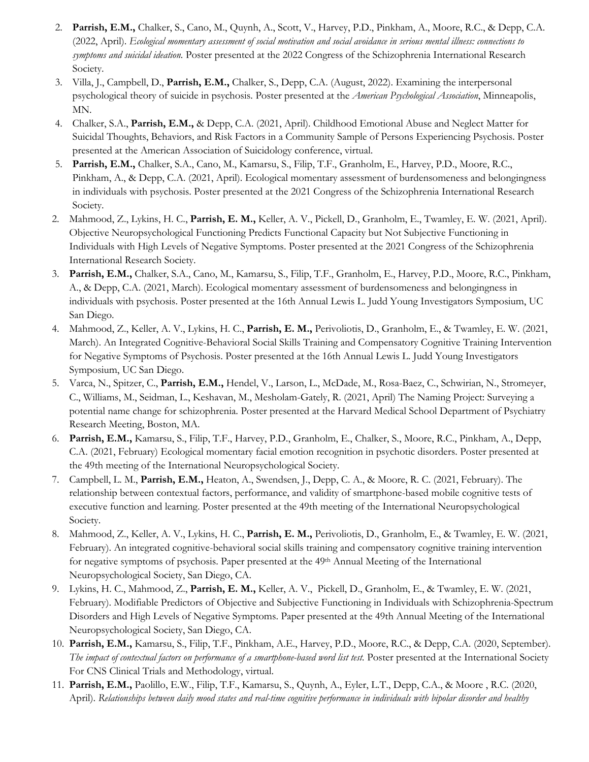- 2. **Parrish, E.M.,** Chalker, S., Cano, M., Quynh, A., Scott, V., Harvey, P.D., Pinkham, A., Moore, R.C., & Depp, C.A. (2022, April). *Ecological momentary assessment of social motivation and social avoidance in serious mental illness: connections to symptoms and suicidal ideation.* Poster presented at the 2022 Congress of the Schizophrenia International Research Society.
- 3. Villa, J., Campbell, D., **Parrish, E.M.,** Chalker, S., Depp, C.A. (August, 2022). Examining the interpersonal psychological theory of suicide in psychosis. Poster presented at the *American Psychological Association*, Minneapolis, MN.
- 4. Chalker, S.A., **Parrish, E.M.,** & Depp, C.A. (2021, April). Childhood Emotional Abuse and Neglect Matter for Suicidal Thoughts, Behaviors, and Risk Factors in a Community Sample of Persons Experiencing Psychosis. Poster presented at the American Association of Suicidology conference, virtual.
- 5. **Parrish, E.M.,** Chalker, S.A., Cano, M., Kamarsu, S., Filip, T.F., Granholm, E., Harvey, P.D., Moore, R.C., Pinkham, A., & Depp, C.A. (2021, April). Ecological momentary assessment of burdensomeness and belongingness in individuals with psychosis. Poster presented at the 2021 Congress of the Schizophrenia International Research Society.
- 2. Mahmood, Z., Lykins, H. C., **Parrish, E. M.,** Keller, A. V., Pickell, D., Granholm, E., Twamley, E. W. (2021, April). Objective Neuropsychological Functioning Predicts Functional Capacity but Not Subjective Functioning in Individuals with High Levels of Negative Symptoms. Poster presented at the 2021 Congress of the Schizophrenia International Research Society.
- 3. **Parrish, E.M.,** Chalker, S.A., Cano, M., Kamarsu, S., Filip, T.F., Granholm, E., Harvey, P.D., Moore, R.C., Pinkham, A., & Depp, C.A. (2021, March). Ecological momentary assessment of burdensomeness and belongingness in individuals with psychosis. Poster presented at the 16th Annual Lewis L. Judd Young Investigators Symposium, UC San Diego.
- 4. Mahmood, Z., Keller, A. V., Lykins, H. C., **Parrish, E. M.,** Perivoliotis, D., Granholm, E., & Twamley, E. W. (2021, March). An Integrated Cognitive-Behavioral Social Skills Training and Compensatory Cognitive Training Intervention for Negative Symptoms of Psychosis. Poster presented at the 16th Annual Lewis L. Judd Young Investigators Symposium, UC San Diego.
- 5. Varca, N., Spitzer, C., **Parrish, E.M.,** Hendel, V., Larson, L., McDade, M., Rosa-Baez, C., Schwirian, N., Stromeyer, C., Williams, M., Seidman, L., Keshavan, M., Mesholam-Gately, R. (2021, April) The Naming Project: Surveying a potential name change for schizophrenia. Poster presented at the Harvard Medical School Department of Psychiatry Research Meeting, Boston, MA.
- 6. **Parrish, E.M.,** Kamarsu, S., Filip, T.F., Harvey, P.D., Granholm, E., Chalker, S., Moore, R.C., Pinkham, A., Depp, C.A. (2021, February) Ecological momentary facial emotion recognition in psychotic disorders. Poster presented at the 49th meeting of the International Neuropsychological Society.
- 7. Campbell, L. M., **Parrish, E.M.,** Heaton, A., Swendsen, J., Depp, C. A., & Moore, R. C. (2021, February). The relationship between contextual factors, performance, and validity of smartphone-based mobile cognitive tests of executive function and learning. Poster presented at the 49th meeting of the International Neuropsychological Society.
- 8. Mahmood, Z., Keller, A. V., Lykins, H. C., **Parrish, E. M.,** Perivoliotis, D., Granholm, E., & Twamley, E. W. (2021, February). An integrated cognitive-behavioral social skills training and compensatory cognitive training intervention for negative symptoms of psychosis. Paper presented at the 49<sup>th</sup> Annual Meeting of the International Neuropsychological Society, San Diego, CA.
- 9. Lykins, H. C., Mahmood, Z., **Parrish, E. M.,** Keller, A. V., Pickell, D., Granholm, E., & Twamley, E. W. (2021, February). Modifiable Predictors of Objective and Subjective Functioning in Individuals with Schizophrenia-Spectrum Disorders and High Levels of Negative Symptoms. Paper presented at the 49th Annual Meeting of the International Neuropsychological Society, San Diego, CA.
- 10. **Parrish, E.M.,** Kamarsu, S., Filip, T.F., Pinkham, A.E., Harvey, P.D., Moore, R.C., & Depp, C.A. (2020, September). *The impact of contextual factors on performance of a smartphone-based word list test.* Poster presented at the International Society For CNS Clinical Trials and Methodology, virtual.
- 11. **Parrish, E.M.,** Paolillo, E.W., Filip, T.F., Kamarsu, S., Quynh, A., Eyler, L.T., Depp, C.A., & Moore , R.C. (2020, April). *Relationships between daily mood states and real-time cognitive performance in individuals with bipolar disorder and healthy*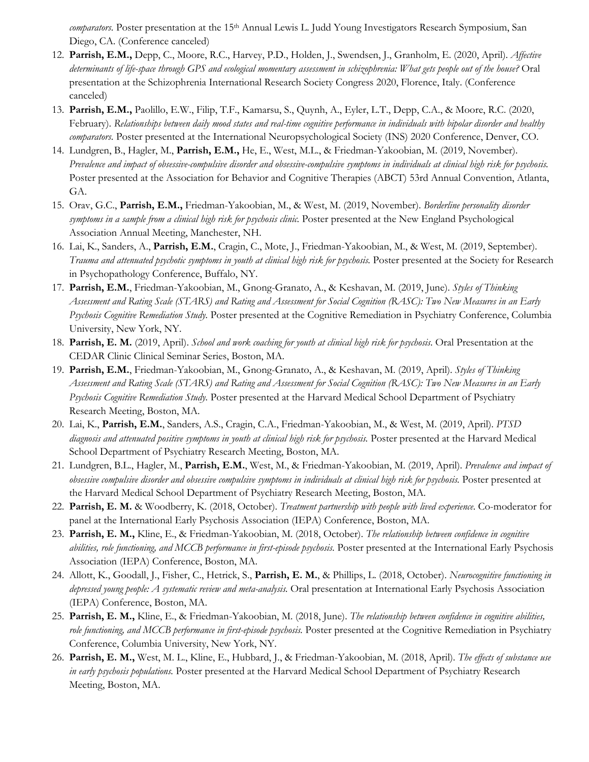*comparators.* Poster presentation at the 15<sup>th</sup> Annual Lewis L. Judd Young Investigators Research Symposium, San Diego, CA. (Conference canceled)

- 12. **Parrish, E.M.,** Depp, C., Moore, R.C., Harvey, P.D., Holden, J., Swendsen, J., Granholm, E. (2020, April). *Affective determinants of life-space through GPS and ecological momentary assessment in schizophrenia: What gets people out of the house?* Oral presentation at the Schizophrenia International Research Society Congress 2020, Florence, Italy. (Conference canceled)
- 13. **Parrish, E.M.,** Paolillo, E.W., Filip, T.F., Kamarsu, S., Quynh, A., Eyler, L.T., Depp, C.A., & Moore, R.C. (2020, February). *Relationships between daily mood states and real-time cognitive performance in individuals with bipolar disorder and healthy comparators.* Poster presented at the International Neuropsychological Society (INS) 2020 Conference, Denver, CO.
- 14. Lundgren, B., Hagler, M., **Parrish, E.M.,** He, E., West, M.L., & Friedman-Yakoobian, M. (2019, November). *Prevalence and impact of obsessive-compulsive disorder and obsessive-compulsive symptoms in individuals at clinical high risk for psychosis.*  Poster presented at the Association for Behavior and Cognitive Therapies (ABCT) 53rd Annual Convention, Atlanta, GA.
- 15. Orav, G.C., **Parrish, E.M.,** Friedman-Yakoobian, M., & West, M. (2019, November). *Borderline personality disorder*  symptoms in a sample from a clinical high risk for psychosis clinic. Poster presented at the New England Psychological Association Annual Meeting, Manchester, NH.
- 16. Lai, K., Sanders, A., **Parrish, E.M.**, Cragin, C., Mote, J., Friedman-Yakoobian, M., & West, M. (2019, September). *Trauma and attenuated psychotic symptoms in youth at clinical high risk for psychosis.* Poster presented at the Society for Research in Psychopathology Conference, Buffalo, NY.
- 17. **Parrish, E.M.**, Friedman-Yakoobian, M., Gnong-Granato, A., & Keshavan, M. (2019, June). *Styles of Thinking Assessment and Rating Scale (STARS) and Rating and Assessment for Social Cognition (RASC): Two New Measures in an Early Psychosis Cognitive Remediation Study.* Poster presented at the Cognitive Remediation in Psychiatry Conference, Columbia University, New York, NY.
- 18. **Parrish, E. M.** (2019, April). *School and work coaching for youth at clinical high risk for psychosis*. Oral Presentation at the CEDAR Clinic Clinical Seminar Series, Boston, MA.
- 19. **Parrish, E.M.**, Friedman-Yakoobian, M., Gnong-Granato, A., & Keshavan, M. (2019, April). *Styles of Thinking Assessment and Rating Scale (STARS) and Rating and Assessment for Social Cognition (RASC): Two New Measures in an Early Psychosis Cognitive Remediation Study.* Poster presented at the Harvard Medical School Department of Psychiatry Research Meeting, Boston, MA.
- 20. Lai, K., **Parrish, E.M.**, Sanders, A.S., Cragin, C.A., Friedman-Yakoobian, M., & West, M. (2019, April). *PTSD diagnosis and attenuated positive symptoms in youth at clinical high risk for psychosis.* Poster presented at the Harvard Medical School Department of Psychiatry Research Meeting, Boston, MA.
- 21. Lundgren, B.L., Hagler, M., **Parrish, E.M.**, West, M., & Friedman-Yakoobian, M. (2019, April). *Prevalence and impact of obsessive compulsive disorder and obsessive compulsive symptoms in individuals at clinical high risk for psychosis.* Poster presented at the Harvard Medical School Department of Psychiatry Research Meeting, Boston, MA.
- 22. **Parrish, E. M.** & Woodberry, K. (2018, October). *Treatment partnership with people with lived experience*. Co-moderator for panel at the International Early Psychosis Association (IEPA) Conference, Boston, MA.
- 23. **Parrish, E. M.,** Kline, E., & Friedman-Yakoobian, M. (2018, October). *The relationship between confidence in cognitive abilities, role functioning, and MCCB performance in first-episode psychosis.* Poster presented at the International Early Psychosis Association (IEPA) Conference, Boston, MA.
- 24. Allott, K., Goodall, J., Fisher, C., Hetrick, S., **Parrish, E. M.**, & Phillips, L. (2018, October). *Neurocognitive functioning in depressed young people: A systematic review and meta-analysis.* Oral presentation at International Early Psychosis Association (IEPA) Conference, Boston, MA.
- 25. **Parrish, E. M.,** Kline, E., & Friedman-Yakoobian, M. (2018, June). *The relationship between confidence in cognitive abilities, role functioning, and MCCB performance in first-episode psychosis.* Poster presented at the Cognitive Remediation in Psychiatry Conference, Columbia University, New York, NY.
- 26. **Parrish, E. M.,** West, M. L., Kline, E., Hubbard, J., & Friedman-Yakoobian, M. (2018, April). *The effects of substance use in early psychosis populations.* Poster presented at the Harvard Medical School Department of Psychiatry Research Meeting, Boston, MA.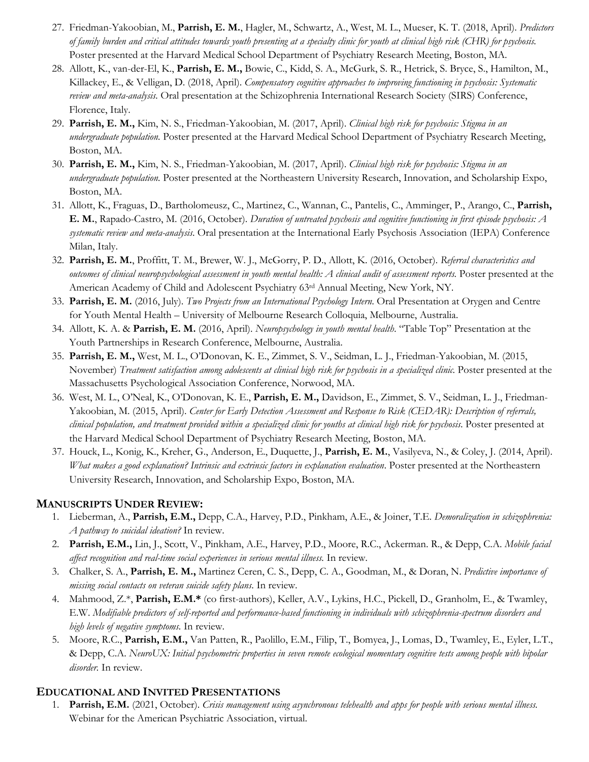- 27. Friedman-Yakoobian, M., **Parrish, E. M.**, Hagler, M., Schwartz, A., West, M. L., Mueser, K. T. (2018, April). *Predictors of family burden and critical attitudes towards youth presenting at a specialty clinic for youth at clinical high risk (CHR) for psychosis.*  Poster presented at the Harvard Medical School Department of Psychiatry Research Meeting, Boston, MA.
- 28. Allott, K., van-der-El, K., **Parrish, E. M.,** Bowie, C., Kidd, S. A., McGurk, S. R., Hetrick, S. Bryce, S., Hamilton, M., Killackey, E., & Velligan, D. (2018, April). *Compensatory cognitive approaches to improving functioning in psychosis: Systematic review and meta-analysis.* Oral presentation at the Schizophrenia International Research Society (SIRS) Conference, Florence, Italy.
- 29. **Parrish, E. M.,** Kim, N. S., Friedman-Yakoobian, M. (2017, April). *Clinical high risk for psychosis: Stigma in an undergraduate population.* Poster presented at the Harvard Medical School Department of Psychiatry Research Meeting, Boston, MA.
- 30. **Parrish, E. M.,** Kim, N. S., Friedman-Yakoobian, M. (2017, April). *Clinical high risk for psychosis: Stigma in an undergraduate population.* Poster presented at the Northeastern University Research, Innovation, and Scholarship Expo, Boston, MA.
- 31. Allott, K., Fraguas, D., Bartholomeusz, C., Martinez, C., Wannan, C., Pantelis, C., Amminger, P., Arango, C., **Parrish, E. M.**, Rapado-Castro, M. (2016, October). *Duration of untreated psychosis and cognitive functioning in first episode psychosis: A systematic review and meta-analysis*. Oral presentation at the International Early Psychosis Association (IEPA) Conference Milan, Italy.
- 32. **Parrish, E. M.**, Proffitt, T. M., Brewer, W. J., McGorry, P. D., Allott, K. (2016, October). *Referral characteristics and outcomes of clinical neuropsychological assessment in youth mental health: A clinical audit of assessment reports.* Poster presented at the American Academy of Child and Adolescent Psychiatry 63rd Annual Meeting, New York, NY.
- 33. **Parrish, E. M.** (2016, July). *Two Projects from an International Psychology Intern*. Oral Presentation at Orygen and Centre for Youth Mental Health – University of Melbourne Research Colloquia, Melbourne, Australia.
- 34. Allott, K. A. & **Parrish, E. M.** (2016, April). *Neuropsychology in youth mental health*. "Table Top" Presentation at the Youth Partnerships in Research Conference, Melbourne, Australia.
- 35. **Parrish, E. M.,** West, M. L., O'Donovan, K. E., Zimmet, S. V., Seidman, L. J., Friedman-Yakoobian, M. (2015, November) *Treatment satisfaction among adolescents at clinical high risk for psychosis in a specialized clinic.* Poster presented at the Massachusetts Psychological Association Conference, Norwood, MA.
- 36. West, M. L., O'Neal, K., O'Donovan, K. E., **Parrish, E. M.,** Davidson, E., Zimmet, S. V., Seidman, L. J., Friedman-Yakoobian, M. (2015, April). *Center for Early Detection Assessment and Response to Risk (CEDAR): Description of referrals, clinical population, and treatment provided within a specialized clinic for youths at clinical high risk for psychosis*. Poster presented at the Harvard Medical School Department of Psychiatry Research Meeting, Boston, MA.
- 37. Houck, L., Konig, K., Kreher, G., Anderson, E., Duquette, J., **Parrish, E. M.**, Vasilyeva, N., & Coley, J. (2014, April). *What makes a good explanation? Intrinsic and extrinsic factors in explanation evaluation*. Poster presented at the Northeastern University Research, Innovation, and Scholarship Expo, Boston, MA.

# **MANUSCRIPTS UNDER REVIEW:**

- 1. Lieberman, A., **Parrish, E.M.,** Depp, C.A., Harvey, P.D., Pinkham, A.E., & Joiner, T.E. *Demoralization in schizophrenia: A pathway to suicidal ideation?* In review.
- 2. **Parrish, E.M.,** Lin, J., Scott, V., Pinkham, A.E., Harvey, P.D., Moore, R.C., Ackerman. R., & Depp, C.A. *Mobile facial affect recognition and real-time social experiences in serious mental illness.* In review.
- 3. Chalker, S. A., **Parrish, E. M.,** Martinez Ceren, C. S., Depp, C. A., Goodman, M., & Doran, N. *Predictive importance of missing social contacts on veteran suicide safety plans*. In review.
- 4. Mahmood, Z.\*, **Parrish, E.M.\*** (co first-authors), Keller, A.V., Lykins, H.C., Pickell, D., Granholm, E., & Twamley, E.W. *Modifiable predictors of self-reported and performance-based functioning in individuals with schizophrenia-spectrum disorders and high levels of negative symptoms.* In review.
- 5. Moore, R.C., **Parrish, E.M.,** Van Patten, R., Paolillo, E.M., Filip, T., Bomyea, J., Lomas, D., Twamley, E., Eyler, L.T., & Depp, C.A. *NeuroUX: Initial psychometric properties in seven remote ecological momentary cognitive tests among people with bipolar disorder.* In review.

# **EDUCATIONAL AND INVITED PRESENTATIONS**

1. **Parrish, E.M.** (2021, October). *Crisis management using asynchronous telehealth and apps for people with serious mental illness.* Webinar for the American Psychiatric Association, virtual.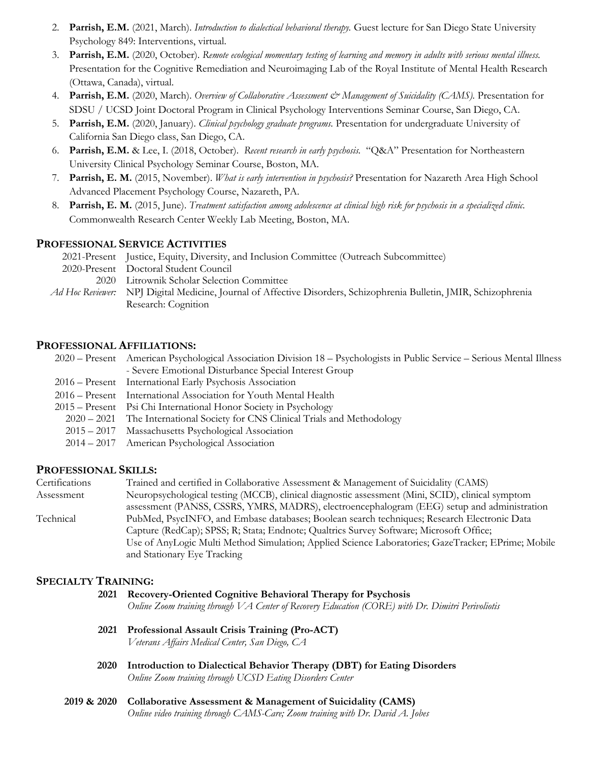- 2. **Parrish, E.M.** (2021, March). *Introduction to dialectical behavioral therapy.* Guest lecture for San Diego State University Psychology 849: Interventions, virtual.
- 3. **Parrish, E.M.** (2020, October). *Remote ecological momentary testing of learning and memory in adults with serious mental illness.*  Presentation for the Cognitive Remediation and Neuroimaging Lab of the Royal Institute of Mental Health Research (Ottawa, Canada), virtual.
- 4. **Parrish, E.M.** (2020, March). *Overview of Collaborative Assessment & Management of Suicidality (CAMS).* Presentation for SDSU / UCSD Joint Doctoral Program in Clinical Psychology Interventions Seminar Course, San Diego, CA.
- 5. **Parrish, E.M.** (2020, January). *Clinical psychology graduate programs.* Presentation for undergraduate University of California San Diego class, San Diego, CA.
- 6. **Parrish, E.M.** & Lee, I. (2018, October). *Recent research in early psychosis.* "Q&A" Presentation for Northeastern University Clinical Psychology Seminar Course, Boston, MA.
- 7. **Parrish, E. M.** (2015, November). *What is early intervention in psychosis?* Presentation for Nazareth Area High School Advanced Placement Psychology Course, Nazareth, PA.
- 8. **Parrish, E. M.** (2015, June). *Treatment satisfaction among adolescence at clinical high risk for psychosis in a specialized clinic.*  Commonwealth Research Center Weekly Lab Meeting, Boston, MA.

## **PROFESSIONAL SERVICE ACTIVITIES**

2021-Present Justice, Equity, Diversity, and Inclusion Committee (Outreach Subcommittee) 2020-Present Doctoral Student Council 2020 Litrownik Scholar Selection Committee *Ad Hoc Reviewer:* NPJ Digital Medicine, Journal of Affective Disorders, Schizophrenia Bulletin, JMIR, Schizophrenia Research: Cognition

#### **PROFESSIONAL AFFILIATIONS:**

2020 – Present American Psychological Association Division 18 – Psychologists in Public Service – Serious Mental Illness - Severe Emotional Disturbance Special Interest Group 2016 – Present International Early Psychosis Association 2016 – Present International Association for Youth Mental Health 2015 – Present Psi Chi International Honor Society in Psychology 2020 – 2021 The International Society for CNS Clinical Trials and Methodology 2015 – 2017 Massachusetts Psychological Association 2014 – 2017 American Psychological Association

## **PROFESSIONAL SKILLS:**

| Certifications | Trained and certified in Collaborative Assessment & Management of Suicidality (CAMS)               |
|----------------|----------------------------------------------------------------------------------------------------|
| Assessment     | Neuropsychological testing (MCCB), clinical diagnostic assessment (Mini, SCID), clinical symptom   |
|                | assessment (PANSS, CSSRS, YMRS, MADRS), electroencephalogram (EEG) setup and administration        |
| Technical      | PubMed, PsycINFO, and Embase databases; Boolean search techniques; Research Electronic Data        |
|                | Capture (RedCap); SPSS; R; Stata; Endnote; Qualtrics Survey Software; Microsoft Office;            |
|                | Use of AnyLogic Multi Method Simulation; Applied Science Laboratories; GazeTracker; EPrime; Mobile |
|                | and Stationary Eye Tracking                                                                        |

#### **SPECIALTY TRAINING:**

| 2021 | Recovery-Oriented Cognitive Behavioral Therapy for Psychosis<br>Online Zoom training through VA Center of Recovery Education (CORE) with Dr. Dimitri Perivoliotis |
|------|-------------------------------------------------------------------------------------------------------------------------------------------------------------------|
| 2021 | Professional Assault Crisis Training (Pro-ACT)<br>Veterans Affairs Medical Center, San Diego, CA                                                                  |
| 2020 | Introduction to Dialectical Behavior Therapy (DBT) for Eating Disorders<br>Online Zoom training through UCSD Eating Disorders Center                              |
|      |                                                                                                                                                                   |

**2019 & 2020 Collaborative Assessment & Management of Suicidality (CAMS)** *Online video training through CAMS-Care; Zoom training with Dr. David A. Jobes*